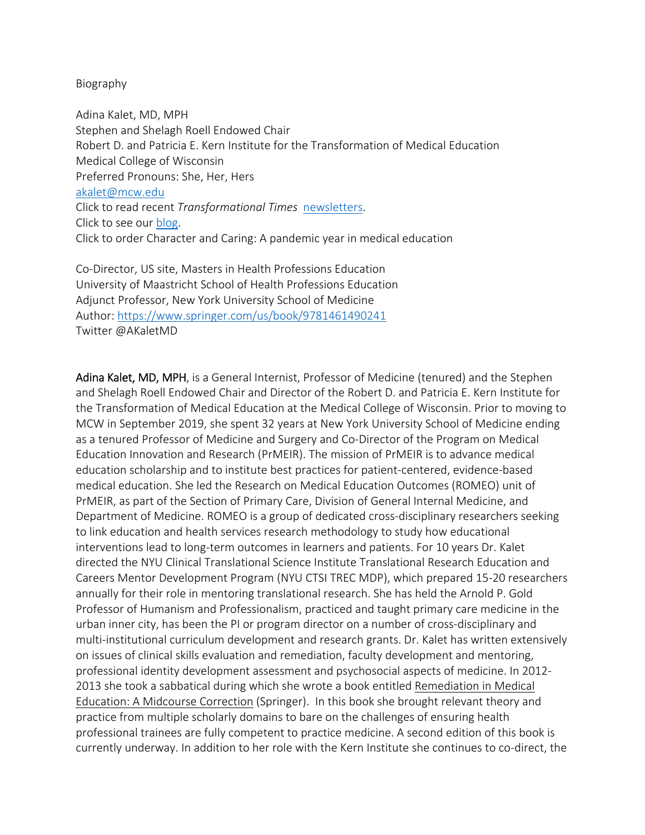## Biography

Adina Kalet, MD, MPH Stephen and Shelagh Roell Endowed Chair Robert D. and Patricia E. Kern Institute for the Transformation of Medical Education Medical College of Wisconsin Preferred Pronouns: She, Her, Hers akalet@mcw.edu Click to read recent *Transformational Times* newsletters. Click to see our blog. Click to order Character and Caring: A pandemic year in medical education

Co‐Director, US site, Masters in Health Professions Education University of Maastricht School of Health Professions Education Adjunct Professor, New York University School of Medicine Author: https://www.springer.com/us/book/9781461490241 Twitter @AKaletMD

Adina Kalet, MD, MPH, is a General Internist, Professor of Medicine (tenured) and the Stephen and Shelagh Roell Endowed Chair and Director of the Robert D. and Patricia E. Kern Institute for the Transformation of Medical Education at the Medical College of Wisconsin. Prior to moving to MCW in September 2019, she spent 32 years at New York University School of Medicine ending as a tenured Professor of Medicine and Surgery and Co‐Director of the Program on Medical Education Innovation and Research (PrMEIR). The mission of PrMEIR is to advance medical education scholarship and to institute best practices for patient-centered, evidence-based medical education. She led the Research on Medical Education Outcomes (ROMEO) unit of PrMEIR, as part of the Section of Primary Care, Division of General Internal Medicine, and Department of Medicine. ROMEO is a group of dedicated cross-disciplinary researchers seeking to link education and health services research methodology to study how educational interventions lead to long‐term outcomes in learners and patients. For 10 years Dr. Kalet directed the NYU Clinical Translational Science Institute Translational Research Education and Careers Mentor Development Program (NYU CTSI TREC MDP), which prepared 15‐20 researchers annually for their role in mentoring translational research. She has held the Arnold P. Gold Professor of Humanism and Professionalism, practiced and taught primary care medicine in the urban inner city, has been the PI or program director on a number of cross‐disciplinary and multi-institutional curriculum development and research grants. Dr. Kalet has written extensively on issues of clinical skills evaluation and remediation, faculty development and mentoring, professional identity development assessment and psychosocial aspects of medicine. In 2012‐ 2013 she took a sabbatical during which she wrote a book entitled Remediation in Medical Education: A Midcourse Correction (Springer). In this book she brought relevant theory and practice from multiple scholarly domains to bare on the challenges of ensuring health professional trainees are fully competent to practice medicine. A second edition of this book is currently underway. In addition to her role with the Kern Institute she continues to co‐direct, the